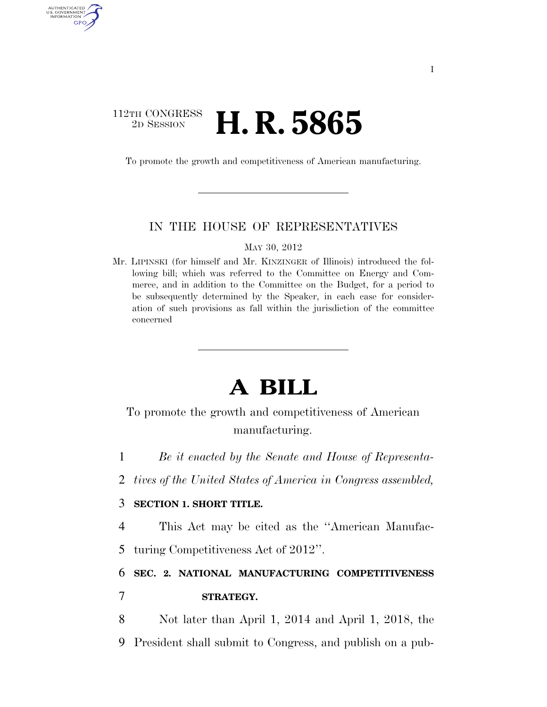### 112TH CONGRESS <sup>2D SESSION</sup> **H. R. 5865**

AUTHENTICATED U.S. GOVERNMENT GPO

To promote the growth and competitiveness of American manufacturing.

### IN THE HOUSE OF REPRESENTATIVES

MAY 30, 2012

Mr. LIPINSKI (for himself and Mr. KINZINGER of Illinois) introduced the following bill; which was referred to the Committee on Energy and Commerce, and in addition to the Committee on the Budget, for a period to be subsequently determined by the Speaker, in each case for consideration of such provisions as fall within the jurisdiction of the committee concerned

# **A BILL**

To promote the growth and competitiveness of American manufacturing.

1 *Be it enacted by the Senate and House of Representa-*

2 *tives of the United States of America in Congress assembled,* 

### 3 **SECTION 1. SHORT TITLE.**

4 This Act may be cited as the ''American Manufac-

5 turing Competitiveness Act of 2012''.

## 6 **SEC. 2. NATIONAL MANUFACTURING COMPETITIVENESS**  7 **STRATEGY.**

8 Not later than April 1, 2014 and April 1, 2018, the 9 President shall submit to Congress, and publish on a pub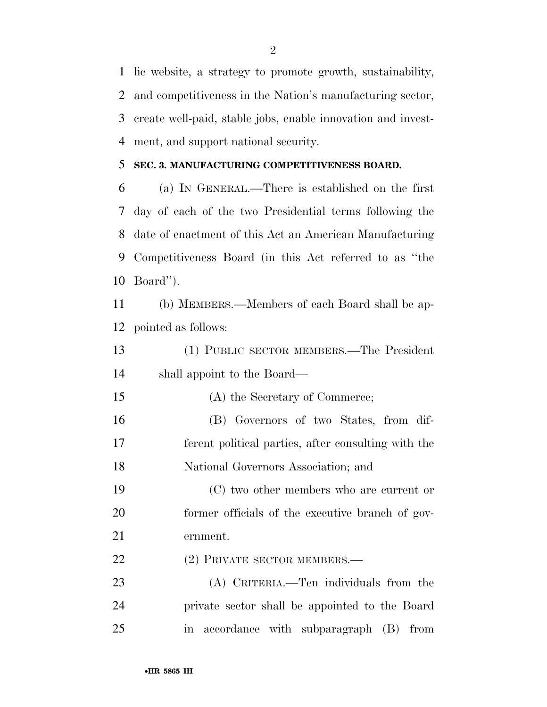lic website, a strategy to promote growth, sustainability, and competitiveness in the Nation's manufacturing sector, create well-paid, stable jobs, enable innovation and invest-ment, and support national security.

### **SEC. 3. MANUFACTURING COMPETITIVENESS BOARD.**

 (a) IN GENERAL.—There is established on the first day of each of the two Presidential terms following the date of enactment of this Act an American Manufacturing Competitiveness Board (in this Act referred to as ''the Board'').

 (b) MEMBERS.—Members of each Board shall be ap-pointed as follows:

 (1) PUBLIC SECTOR MEMBERS.—The President shall appoint to the Board—

 (A) the Secretary of Commerce; (B) Governors of two States, from dif-

 ferent political parties, after consulting with the National Governors Association; and

 (C) two other members who are current or former officials of the executive branch of gov-ernment.

22 (2) PRIVATE SECTOR MEMBERS.—

 (A) CRITERIA.—Ten individuals from the private sector shall be appointed to the Board in accordance with subparagraph (B) from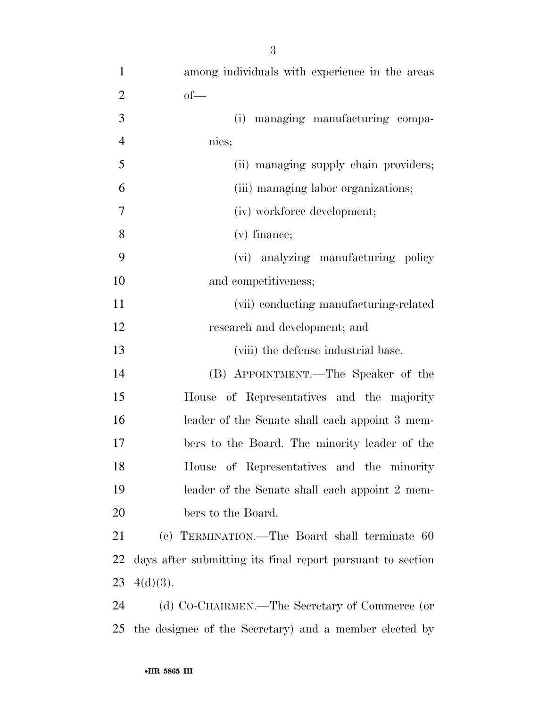| $\mathbf{1}$   | among individuals with experience in the areas             |
|----------------|------------------------------------------------------------|
| $\overline{2}$ | $of$ —                                                     |
| 3              | (i) managing manufacturing compa-                          |
| $\overline{4}$ | nies;                                                      |
| 5              | (ii) managing supply chain providers;                      |
| 6              | (iii) managing labor organizations;                        |
| $\overline{7}$ | (iv) workforce development;                                |
| 8              | $(v)$ finance;                                             |
| 9              | (vi) analyzing manufacturing policy                        |
| 10             | and competitiveness;                                       |
| 11             | (vii) conducting manufacturing-related                     |
| 12             | research and development; and                              |
| 13             | (viii) the defense industrial base.                        |
| 14             | (B) APPOINTMENT.—The Speaker of the                        |
| 15             | House of Representatives and the majority                  |
| 16             | leader of the Senate shall each appoint 3 mem-             |
| 17             | bers to the Board. The minority leader of the              |
| 18             | House of Representatives and the minority                  |
| 19             | leader of the Senate shall each appoint 2 mem-             |
| 20             | bers to the Board.                                         |
| 21             | (c) TERMINATION.—The Board shall terminate 60              |
| 22             | days after submitting its final report pursuant to section |
| 23             | $4(d)(3)$ .                                                |
| 24             | (d) Co-CHAIRMEN.—The Secretary of Commerce (or             |
| 25             | the designee of the Secretary) and a member elected by     |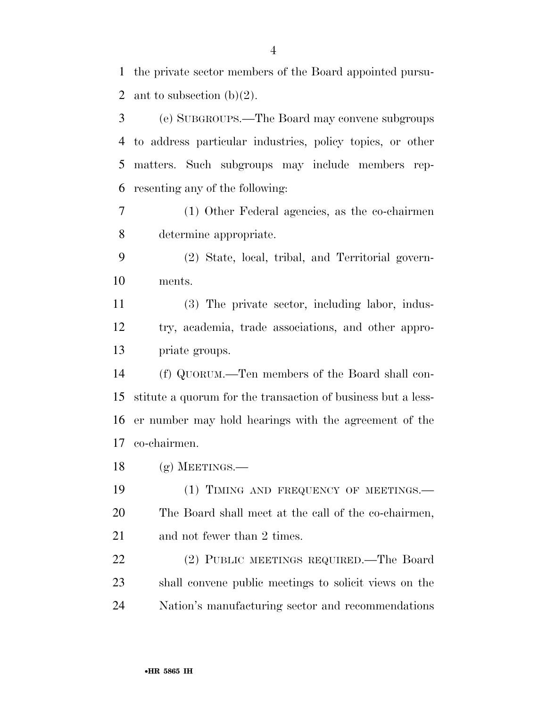the private sector members of the Board appointed pursu-2 ant to subsection  $(b)(2)$ .

 (e) SUBGROUPS.—The Board may convene subgroups to address particular industries, policy topics, or other matters. Such subgroups may include members rep-resenting any of the following:

 (1) Other Federal agencies, as the co-chairmen determine appropriate.

 (2) State, local, tribal, and Territorial govern-ments.

 (3) The private sector, including labor, indus- try, academia, trade associations, and other appro-priate groups.

 (f) QUORUM.—Ten members of the Board shall con- stitute a quorum for the transaction of business but a less- er number may hold hearings with the agreement of the co-chairmen.

(g) MEETINGS.—

19 (1) TIMING AND FREQUENCY OF MEETINGS.— The Board shall meet at the call of the co-chairmen, 21 and not fewer than 2 times.

 (2) PUBLIC MEETINGS REQUIRED.—The Board shall convene public meetings to solicit views on the Nation's manufacturing sector and recommendations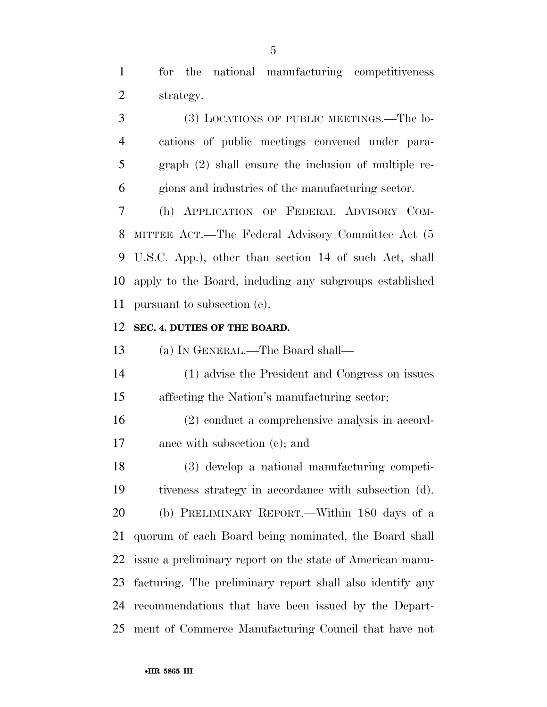for the national manufacturing competitiveness strategy.

 (3) LOCATIONS OF PUBLIC MEETINGS.—The lo- cations of public meetings convened under para- graph (2) shall ensure the inclusion of multiple re-gions and industries of the manufacturing sector.

 (h) APPLICATION OF FEDERAL ADVISORY COM- MITTEE ACT.—The Federal Advisory Committee Act (5 U.S.C. App.), other than section 14 of such Act, shall apply to the Board, including any subgroups established pursuant to subsection (e).

#### **SEC. 4. DUTIES OF THE BOARD.**

(a) IN GENERAL.—The Board shall—

 (1) advise the President and Congress on issues affecting the Nation's manufacturing sector;

 (2) conduct a comprehensive analysis in accord-ance with subsection (c); and

 (3) develop a national manufacturing competi- tiveness strategy in accordance with subsection (d). (b) PRELIMINARY REPORT.—Within 180 days of a quorum of each Board being nominated, the Board shall issue a preliminary report on the state of American manu- facturing. The preliminary report shall also identify any recommendations that have been issued by the Depart-ment of Commerce Manufacturing Council that have not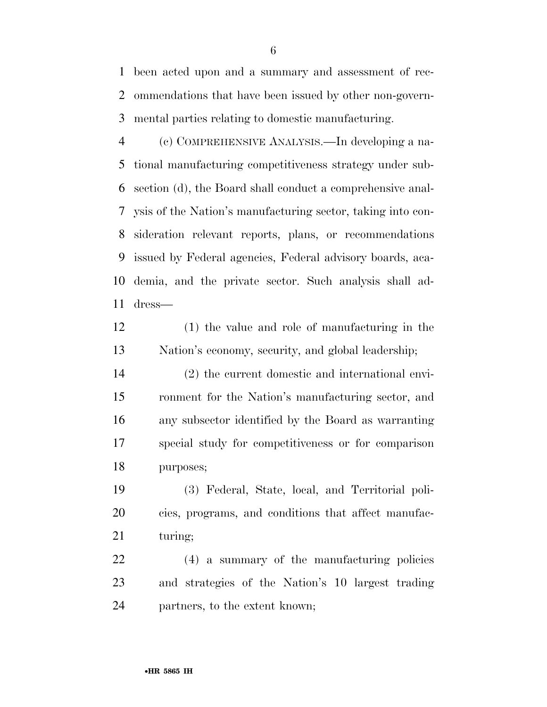been acted upon and a summary and assessment of rec- ommendations that have been issued by other non-govern-mental parties relating to domestic manufacturing.

 (c) COMPREHENSIVE ANALYSIS.—In developing a na- tional manufacturing competitiveness strategy under sub- section (d), the Board shall conduct a comprehensive anal- ysis of the Nation's manufacturing sector, taking into con- sideration relevant reports, plans, or recommendations issued by Federal agencies, Federal advisory boards, aca- demia, and the private sector. Such analysis shall ad-dress—

 (1) the value and role of manufacturing in the Nation's economy, security, and global leadership;

 (2) the current domestic and international envi- ronment for the Nation's manufacturing sector, and any subsector identified by the Board as warranting special study for competitiveness or for comparison purposes;

 (3) Federal, State, local, and Territorial poli- cies, programs, and conditions that affect manufac-21 turing;

 (4) a summary of the manufacturing policies and strategies of the Nation's 10 largest trading partners, to the extent known;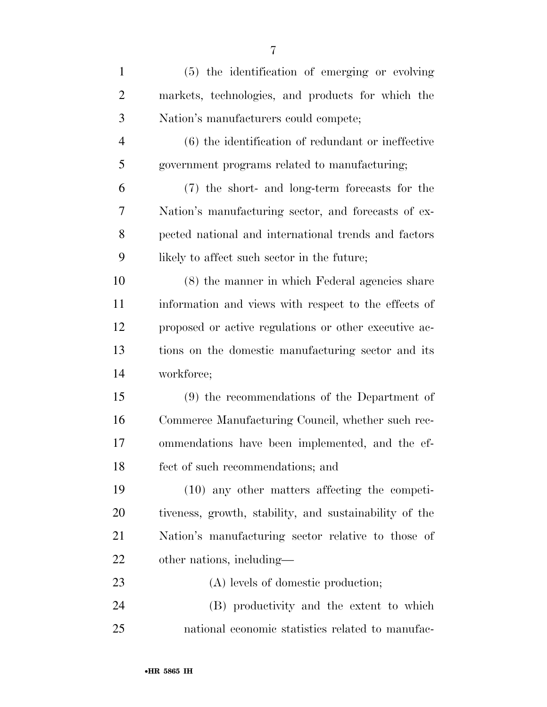| $\mathbf{1}$   | (5) the identification of emerging or evolving         |
|----------------|--------------------------------------------------------|
| $\overline{2}$ | markets, technologies, and products for which the      |
| 3              | Nation's manufacturers could compete;                  |
| $\overline{4}$ | $(6)$ the identification of redundant or ineffective   |
| 5              | government programs related to manufacturing;          |
| 6              | (7) the short- and long-term forecasts for the         |
| 7              | Nation's manufacturing sector, and forecasts of ex-    |
| 8              | pected national and international trends and factors   |
| 9              | likely to affect such sector in the future;            |
| 10             | (8) the manner in which Federal agencies share         |
| 11             | information and views with respect to the effects of   |
| 12             | proposed or active regulations or other executive ac-  |
| 13             | tions on the domestic manufacturing sector and its     |
| 14             | workforce;                                             |
| 15             | (9) the recommendations of the Department of           |
| 16             | Commerce Manufacturing Council, whether such rec-      |
| 17             | ommendations have been implemented, and the ef-        |
| 18             | fect of such recommendations; and                      |
| 19             | $(10)$ any other matters affecting the competi-        |
| 20             | tiveness, growth, stability, and sustainability of the |
| 21             | Nation's manufacturing sector relative to those of     |
| <u>22</u>      | other nations, including—                              |
| 23             | (A) levels of domestic production;                     |
| 24             | (B) productivity and the extent to which               |
| 25             | national economic statistics related to manufac-       |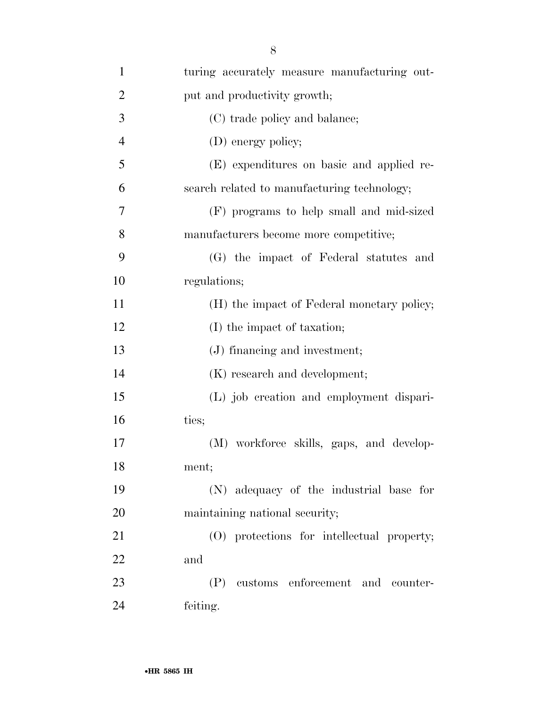| $\mathbf{1}$   | turing accurately measure manufacturing out- |
|----------------|----------------------------------------------|
| $\overline{2}$ | put and productivity growth;                 |
| 3              | (C) trade policy and balance;                |
| $\overline{4}$ | (D) energy policy;                           |
| 5              | (E) expenditures on basic and applied re-    |
| 6              | search related to manufacturing technology;  |
| 7              | (F) programs to help small and mid-sized     |
| 8              | manufacturers become more competitive;       |
| 9              | (G) the impact of Federal statutes and       |
| 10             | regulations;                                 |
| 11             | (H) the impact of Federal monetary policy;   |
| 12             | (I) the impact of taxation;                  |
| 13             | (J) financing and investment;                |
| 14             | (K) research and development;                |
| 15             | (L) job creation and employment dispari-     |
| 16             | ties;                                        |
| 17             | (M) workforce skills, gaps, and develop-     |
| 18             | ment;                                        |
| 19             | (N) adequacy of the industrial base for      |
| 20             | maintaining national security;               |
| 21             | (O) protections for intellectual property;   |
| 22             | and                                          |
| 23             | (P) customs enforcement and counter-         |
| 24             | feiting.                                     |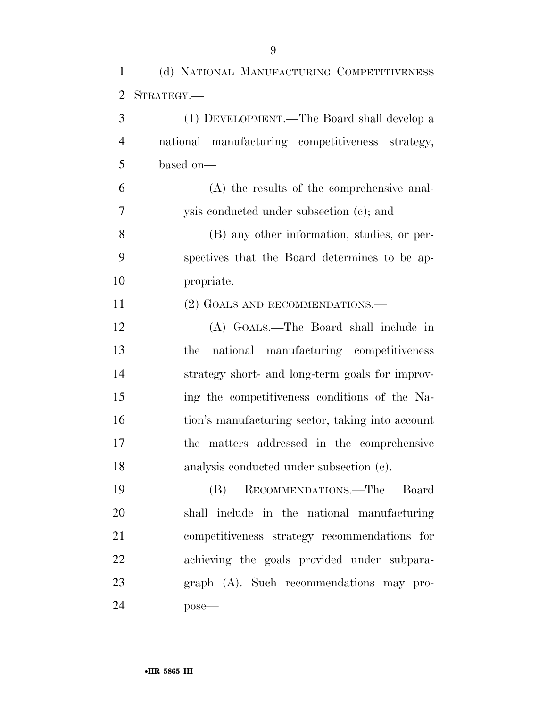(d) NATIONAL MANUFACTURING COMPETITIVENESS

| 2              | STRATEGY.                                        |
|----------------|--------------------------------------------------|
| 3              | (1) DEVELOPMENT.—The Board shall develop a       |
| $\overline{4}$ | national manufacturing competitiveness strategy, |
| 5              | based on-                                        |
| 6              | (A) the results of the comprehensive anal-       |
| 7              | ysis conducted under subsection (c); and         |
| 8              | (B) any other information, studies, or per-      |
| 9              | spectives that the Board determines to be ap-    |
| 10             | propriate.                                       |
| 11             | (2) GOALS AND RECOMMENDATIONS.—                  |
| 12             | (A) GOALS.—The Board shall include in            |
| 13             | national manufacturing competitiveness<br>the    |
| 14             | strategy short- and long-term goals for improv-  |
| 15             | ing the competitiveness conditions of the Na-    |
| 16             | tion's manufacturing sector, taking into account |
| 17             | the matters addressed in the comprehensive       |
| 18             | analysis conducted under subsection (c).         |
| $\sim$         | $\mathbf{D}$<br>$\sqrt{1}$                       |

 (B) RECOMMENDATIONS.—The Board shall include in the national manufacturing competitiveness strategy recommendations for achieving the goals provided under subpara- graph (A). Such recommendations may pro-pose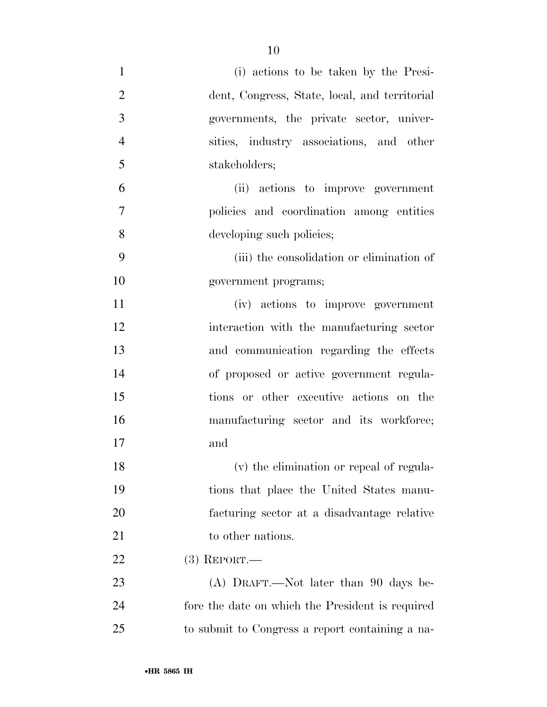| $\mathbf{1}$   | (i) actions to be taken by the Presi-            |
|----------------|--------------------------------------------------|
| $\overline{2}$ | dent, Congress, State, local, and territorial    |
| 3              | governments, the private sector, univer-         |
| $\overline{4}$ | sities, industry associations, and other         |
| 5              | stakeholders;                                    |
| 6              | (ii) actions to improve government               |
| 7              | policies and coordination among entities         |
| 8              | developing such policies;                        |
| 9              | (iii) the consolidation or elimination of        |
| 10             | government programs;                             |
| 11             | (iv) actions to improve government               |
| 12             | interaction with the manufacturing sector        |
| 13             | and communication regarding the effects          |
| 14             | of proposed or active government regula-         |
| 15             | tions or other executive actions on the          |
| 16             | manufacturing sector and its workforce;          |
| 17             | and                                              |
| 18             | (v) the elimination or repeal of regula-         |
| 19             | tions that place the United States manu-         |
| 20             | facturing sector at a disadvantage relative      |
| 21             | to other nations.                                |
| 22             | $(3)$ REPORT.—                                   |
| 23             | (A) DRAFT.—Not later than 90 days be-            |
| 24             | fore the date on which the President is required |
| 25             | to submit to Congress a report containing a na-  |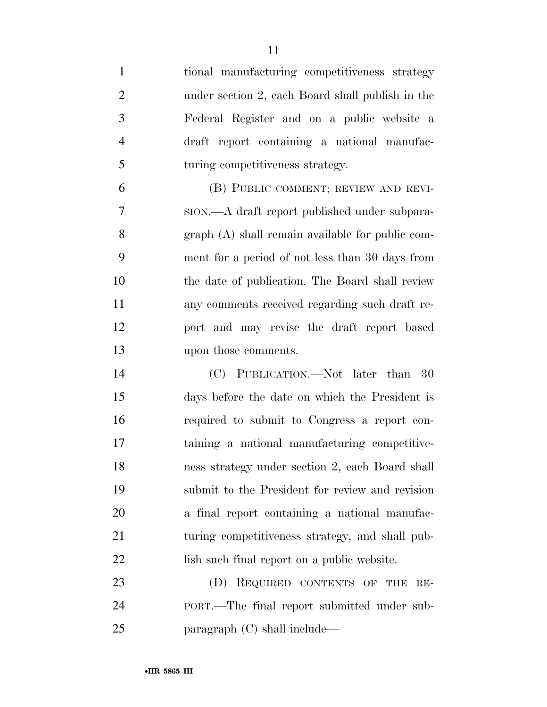tional manufacturing competitiveness strategy under section 2, each Board shall publish in the Federal Register and on a public website a draft report containing a national manufac-5 turing competitiveness strategy. (B) PUBLIC COMMENT; REVIEW AND REVI- SION.—A draft report published under subpara- graph (A) shall remain available for public com- ment for a period of not less than 30 days from the date of publication. The Board shall review any comments received regarding such draft re- port and may revise the draft report based upon those comments. (C) PUBLICATION.—Not later than 30 days before the date on which the President is required to submit to Congress a report con- taining a national manufacturing competitive- ness strategy under section 2, each Board shall submit to the President for review and revision a final report containing a national manufac- turing competitiveness strategy, and shall pub-22 lish such final report on a public website. 23 (D) REQUIRED CONTENTS OF THE RE-PORT.—The final report submitted under sub-

paragraph (C) shall include—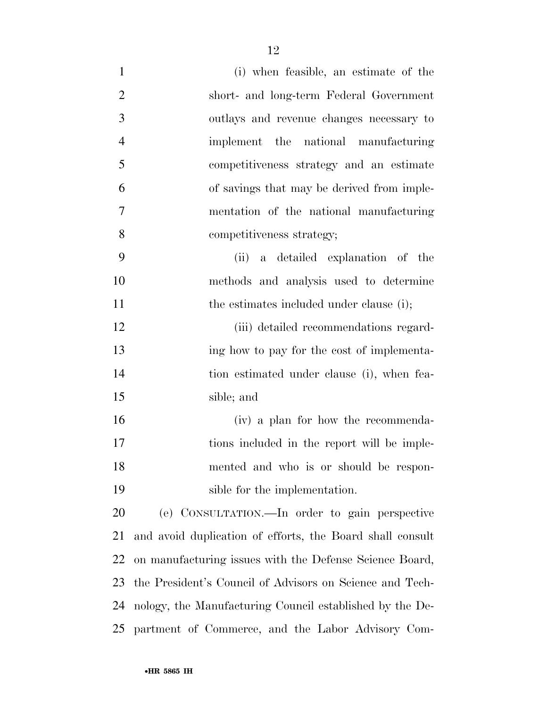| $\mathbf{1}$   | (i) when feasible, an estimate of the                     |
|----------------|-----------------------------------------------------------|
| $\overline{2}$ | short- and long-term Federal Government                   |
| 3              | outlays and revenue changes necessary to                  |
| $\overline{4}$ | implement the national manufacturing                      |
| 5              | competitiveness strategy and an estimate                  |
| 6              | of savings that may be derived from imple-                |
| $\overline{7}$ | mentation of the national manufacturing                   |
| 8              | competitiveness strategy;                                 |
| 9              | (ii) a detailed explanation of the                        |
| 10             | methods and analysis used to determine                    |
| 11             | the estimates included under clause (i);                  |
| 12             | (iii) detailed recommendations regard-                    |
| 13             | ing how to pay for the cost of implementa-                |
| 14             | tion estimated under clause (i), when fea-                |
| 15             | sible; and                                                |
| 16             | (iv) a plan for how the recommenda-                       |
| 17             | tions included in the report will be imple-               |
| 18             | mented and who is or should be respon-                    |
| 19             | sible for the implementation.                             |
| 20             | (e) CONSULTATION.—In order to gain perspective            |
| 21             | and avoid duplication of efforts, the Board shall consult |
| 22             | on manufacturing issues with the Defense Science Board,   |
| 23             | the President's Council of Advisors on Science and Tech-  |
| 24             | nology, the Manufacturing Council established by the De-  |
|                | 25 partment of Commerce, and the Labor Advisory Com-      |